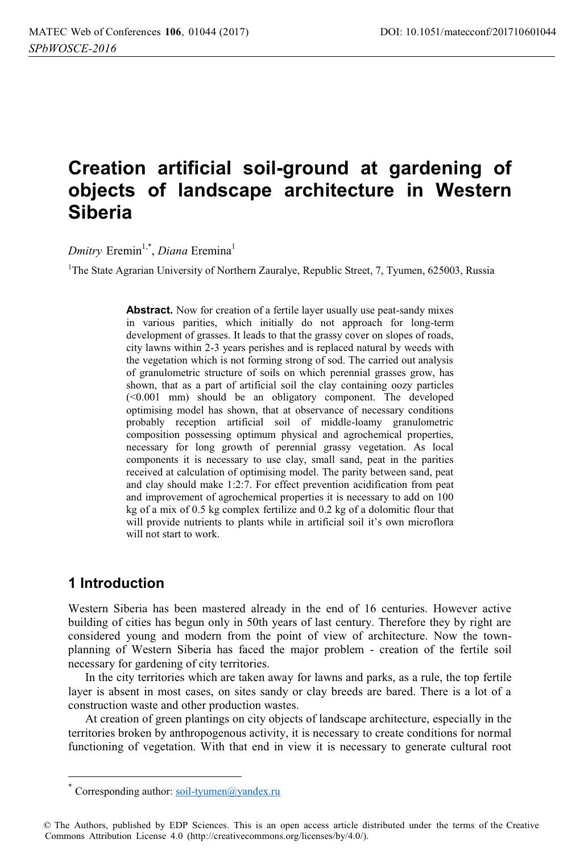# **Creation artificial soil-ground at gardening of objects of landscape architecture in Western Siberia**

*Dmitry* Eremin<sup>1,\*</sup>, *Diana* Eremina<sup>1</sup>

<sup>1</sup>The State Agrarian University of Northern Zauralye, Republic Street, 7, Tyumen, 625003, Russia

Abstract. Now for creation of a fertile layer usually use peat-sandy mixes in various parities, which initially do not approach for long-term development of grasses. It leads to that the grassy cover on slopes of roads, city lawns within 2-3 years perishes and is replaced natural by weeds with the vegetation which is not forming strong of sod. The carried out analysis of granulometric structure of soils on which perennial grasses grow, has shown, that as a part of artificial soil the clay containing oozy particles (<0.001 mm) should be an obligatory component. The developed optimising model has shown, that at observance of necessary conditions probably reception artificial soil of middle-loamy granulometric composition possessing optimum physical and agrochemical properties, necessary for long growth of perennial grassy vegetation. As local components it is necessary to use clay, small sand, peat in the parities received at calculation of optimising model. The parity between sand, peat and clay should make 1:2:7. For effect prevention acidification from peat and improvement of agrochemical properties it is necessary to add on 100 kg of a mix of 0.5 kg complex fertilize and 0.2 kg of a dolomitic flour that will provide nutrients to plants while in artificial soil it's own microflora will not start to work.

# **1 Introduction**

 $\overline{a}$ 

Western Siberia has been mastered already in the end of 16 centuries. However active building of cities has begun only in 50th years of last century. Therefore they by right are considered young and modern from the point of view of architecture. Now the townplanning of Western Siberia has faced the major problem - creation of the fertile soil necessary for gardening of city territories.

In the city territories which are taken away for lawns and parks, as a rule, the top fertile layer is absent in most cases, on sites sandy or clay breeds are bared. There is a lot of a construction waste and other production wastes.

At creation of green plantings on city objects of landscape architecture, especially in the territories broken by anthropogenous activity, it is necessary to create conditions for normal functioning of vegetation. With that end in view it is necessary to generate cultural root

Corresponding author: soil-tyumen@yandex.ru

<sup>©</sup> The Authors, published by EDP Sciences. This is an open access article distributed under the terms of the Creative Commons Attribution License 4.0 (http://creativecommons.org/licenses/by/4.0/).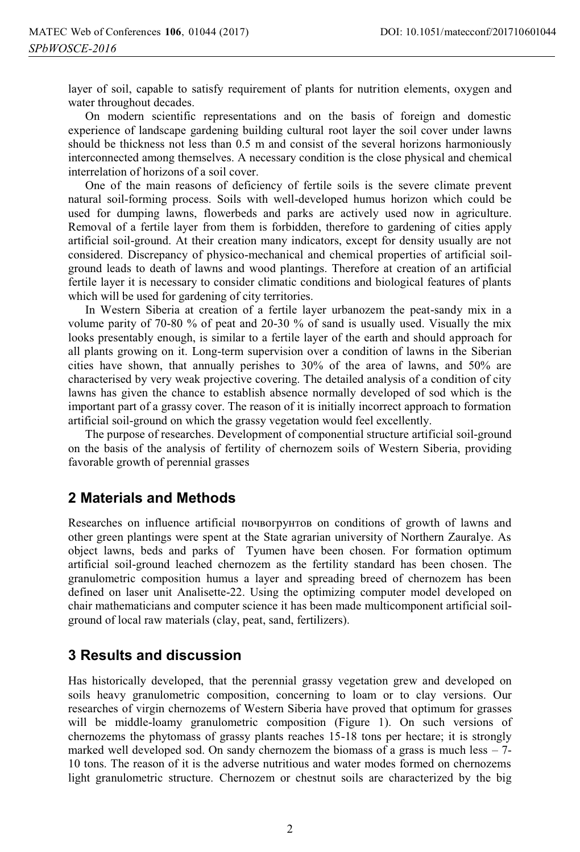layer of soil, capable to satisfy requirement of plants for nutrition elements, oxygen and water throughout decades.

On modern scientific representations and on the basis of foreign and domestic experience of landscape gardening building cultural root layer the soil cover under lawns should be thickness not less than 0.5 m and consist of the several horizons harmoniously interconnected among themselves. A necessary condition is the close physical and chemical interrelation of horizons of a soil cover.

One of the main reasons of deficiency of fertile soils is the severe climate prevent natural soil-forming process. Soils with well-developed humus horizon which could be used for dumping lawns, flowerbeds and parks are actively used now in agriculture. Removal of a fertile layer from them is forbidden, therefore to gardening of cities apply artificial soil-ground. At their creation many indicators, except for density usually are not considered. Discrepancy of physico-mechanical and chemical properties of artificial soilground leads to death of lawns and wood plantings. Therefore at creation of an artificial fertile layer it is necessary to consider climatic conditions and biological features of plants which will be used for gardening of city territories.

In Western Siberia at creation of a fertile layer urbanozem the peat-sandy mix in a volume parity of 70-80 % of peat and 20-30 % of sand is usually used. Visually the mix looks presentably enough, is similar to a fertile layer of the earth and should approach for all plants growing on it. Long-term supervision over a condition of lawns in the Siberian cities have shown, that annually perishes to 30% of the area of lawns, and 50% are characterised by very weak projective covering. The detailed analysis of a condition of city lawns has given the chance to establish absence normally developed of sod which is the important part of a grassy cover. The reason of it is initially incorrect approach to formation artificial soil-ground on which the grassy vegetation would feel excellently.

The purpose of researches. Development of componential structure artificial soil-ground on the basis of the analysis of fertility of chernozem soils of Western Siberia, providing favorable growth of perennial grasses

# **2 Materials and Methods**

Researches on influence artificial почвогрунтов on conditions of growth of lawns and other green plantings were spent at the State agrarian university of Northern Zauralye. As object lawns, beds and parks of Tyumen have been chosen. For formation optimum artificial soil-ground leached chernozem as the fertility standard has been chosen. The granulometric composition humus a layer and spreading breed of chernozem has been defined on laser unit Analisette-22. Using the optimizing computer model developed on chair mathematicians and computer science it has been made multicomponent artificial soilground of local raw materials (clay, peat, sand, fertilizers).

# **3 Results and discussion**

Has historically developed, that the perennial grassy vegetation grew and developed on soils heavy granulometric composition, concerning to loam or to clay versions. Our researches of virgin chernozems of Western Siberia have proved that optimum for grasses will be middle-loamy granulometric composition (Figure 1). On such versions of chernozems the phytomass of grassy plants reaches 15-18 tons per hectare; it is strongly marked well developed sod. On sandy chernozem the biomass of a grass is much less  $-7$ -10 tons. The reason of it is the adverse nutritious and water modes formed on chernozems light granulometric structure. Chernozem or chestnut soils are characterized by the big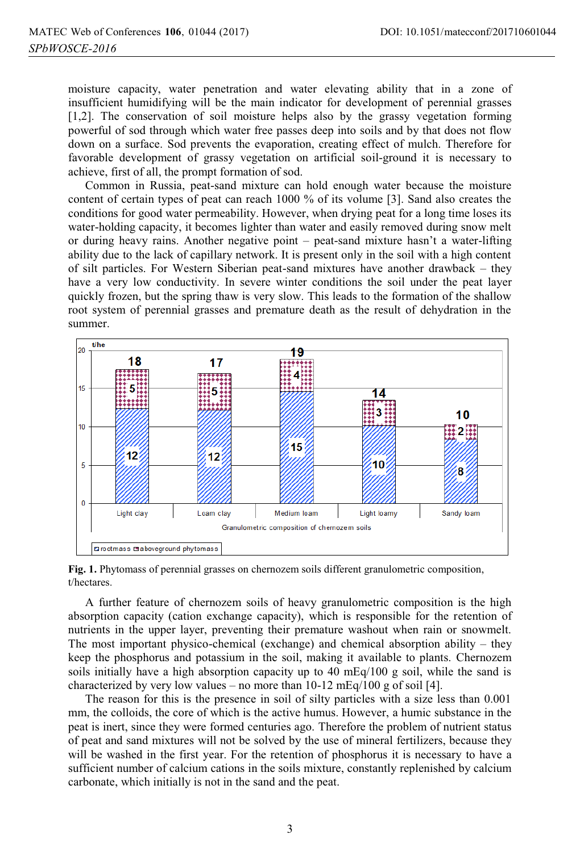moisture capacity, water penetration and water elevating ability that in a zone of insufficient humidifying will be the main indicator for development of perennial grasses [1,2]. The conservation of soil moisture helps also by the grassy vegetation forming powerful of sod through which water free passes deep into soils and by that does not flow down on a surface. Sod prevents the evaporation, creating effect of mulch. Therefore for favorable development of grassy vegetation on artificial soil-ground it is necessary to achieve, first of all, the prompt formation of sod.

Common in Russia, peat-sand mixture can hold enough water because the moisture content of certain types of peat can reach 1000 % of its volume [3]. Sand also creates the conditions for good water permeability. However, when drying peat for a long time loses its water-holding capacity, it becomes lighter than water and easily removed during snow melt or during heavy rains. Another negative point – peat-sand mixture hasn't a water-lifting ability due to the lack of capillary network. It is present only in the soil with a high content of silt particles. For Western Siberian peat-sand mixtures have another drawback – they have a very low conductivity. In severe winter conditions the soil under the peat layer quickly frozen, but the spring thaw is very slow. This leads to the formation of the shallow root system of perennial grasses and premature death as the result of dehydration in the summer.



**Fig. 1.** Phytomass of perennial grasses on chernozem soils different granulometric composition, t/hectares.

A further feature of chernozem soils of heavy granulometric composition is the high absorption capacity (cation exchange capacity), which is responsible for the retention of nutrients in the upper layer, preventing their premature washout when rain or snowmelt. The most important physico-chemical (exchange) and chemical absorption ability – they keep the phosphorus and potassium in the soil, making it available to plants. Chernozem soils initially have a high absorption capacity up to 40 mEq/100 g soil, while the sand is characterized by very low values – no more than  $10-12 \text{ mEq}/100 \text{ g}$  of soil [4].

The reason for this is the presence in soil of silty particles with a size less than 0.001 mm, the colloids, the core of which is the active humus. However, a humic substance in the peat is inert, since they were formed centuries ago. Therefore the problem of nutrient status of peat and sand mixtures will not be solved by the use of mineral fertilizers, because they will be washed in the first year. For the retention of phosphorus it is necessary to have a sufficient number of calcium cations in the soils mixture, constantly replenished by calcium carbonate, which initially is not in the sand and the peat.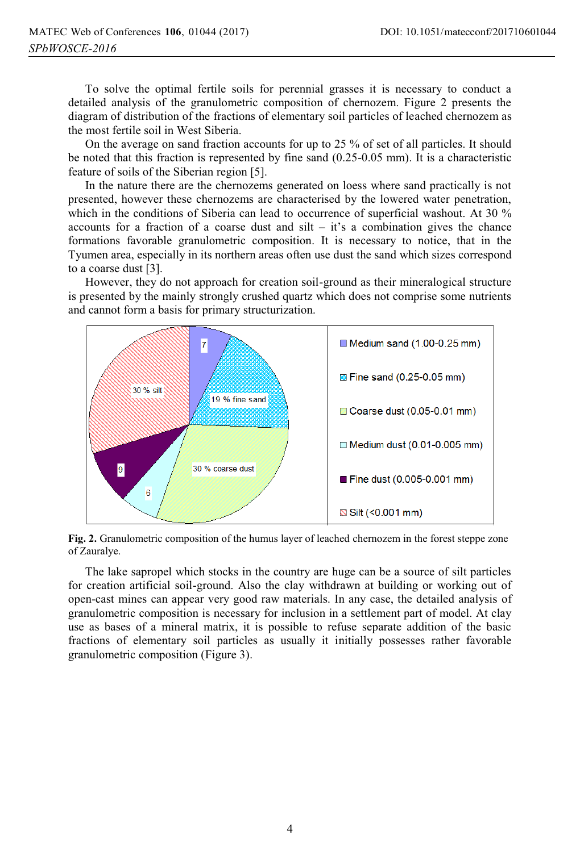To solve the optimal fertile soils for perennial grasses it is necessary to conduct a detailed analysis of the granulometric composition of chernozem. Figure 2 presents the diagram of distribution of the fractions of elementary soil particles of leached chernozem as the most fertile soil in West Siberia.

On the average on sand fraction accounts for up to 25 % of set of all particles. It should be noted that this fraction is represented by fine sand (0.25-0.05 mm). It is a characteristic feature of soils of the Siberian region [5].

In the nature there are the chernozems generated on loess where sand practically is not presented, however these chernozems are characterised by the lowered water penetration, which in the conditions of Siberia can lead to occurrence of superficial washout. At 30 % accounts for a fraction of a coarse dust and  $silt - it's$  a combination gives the chance formations favorable granulometric composition. It is necessary to notice, that in the Tyumen area, especially in its northern areas often use dust the sand which sizes correspond to a coarse dust [3].

However, they do not approach for creation soil-ground as their mineralogical structure is presented by the mainly strongly crushed quartz which does not comprise some nutrients and cannot form a basis for primary structurization.



**Fig. 2.** Granulometric composition of the humus layer of leached сhernozem in the forest steppe zone of Zauralye.

The lake sapropel which stocks in the country are huge can be a source of silt particles for creation artificial soil-ground. Also the clay withdrawn at building or working out of open-cast mines can appear very good raw materials. In any case, the detailed analysis of granulometric composition is necessary for inclusion in a settlement part of model. At clay use as bases of a mineral matrix, it is possible to refuse separate addition of the basic fractions of elementary soil particles as usually it initially possesses rather favorable granulometric composition (Figure 3).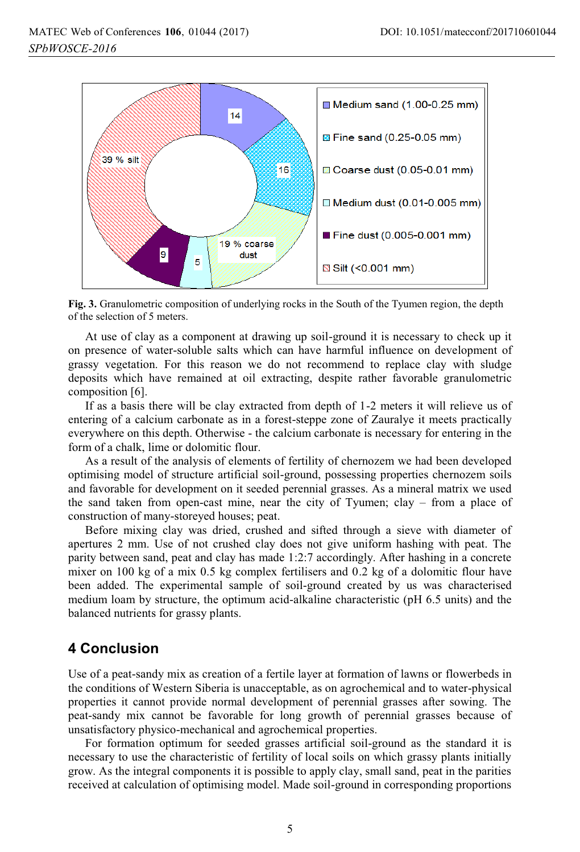

**Fig. 3.** Granulometric composition of underlying rocks in the South of the Tyumen region, the depth of the selection of 5 meters.

At use of clay as a component at drawing up soil-ground it is necessary to check up it on presence of water-soluble salts which can have harmful influence on development of grassy vegetation. For this reason we do not recommend to replace clay with sludge deposits which have remained at oil extracting, despite rather favorable granulometric composition [6].

If as a basis there will be clay extracted from depth of 1-2 meters it will relieve us of entering of a calcium carbonate as in a forest-steppe zone of Zauralye it meets practically everywhere on this depth. Otherwise - the calcium carbonate is necessary for entering in the form of a chalk, lime or dolomitic flour.

As a result of the analysis of elements of fertility of chernozem we had been developed optimising model of structure artificial soil-ground, possessing properties chernozem soils and favorable for development on it seeded perennial grasses. As a mineral matrix we used the sand taken from open-cast mine, near the city of Tyumen; clay – from a place of construction of many-storeyed houses; peat.

Before mixing clay was dried, crushed and sifted through a sieve with diameter of apertures 2 mm. Use of not crushed clay does not give uniform hashing with peat. The parity between sand, peat and clay has made 1:2:7 accordingly. After hashing in a concrete mixer on 100 kg of a mix 0.5 kg complex fertilisers and 0.2 kg of a dolomitic flour have been added. The experimental sample of soil-ground created by us was characterised medium loam by structure, the optimum acid-alkaline characteristic (рН 6.5 units) and the balanced nutrients for grassy plants.

# **4 Conclusion**

Use of a peat-sandy mix as creation of a fertile layer at formation of lawns or flowerbeds in the conditions of Western Siberia is unacceptable, as on agrochemical and to water-physical properties it cannot provide normal development of perennial grasses after sowing. The peat-sandy mix cannot be favorable for long growth of perennial grasses because of unsatisfactory physico-mechanical and agrochemical properties.

For formation optimum for seeded grasses artificial soil-ground as the standard it is necessary to use the characteristic of fertility of local soils on which grassy plants initially grow. As the integral components it is possible to apply clay, small sand, peat in the parities received at calculation of optimising model. Made soil-ground in corresponding proportions